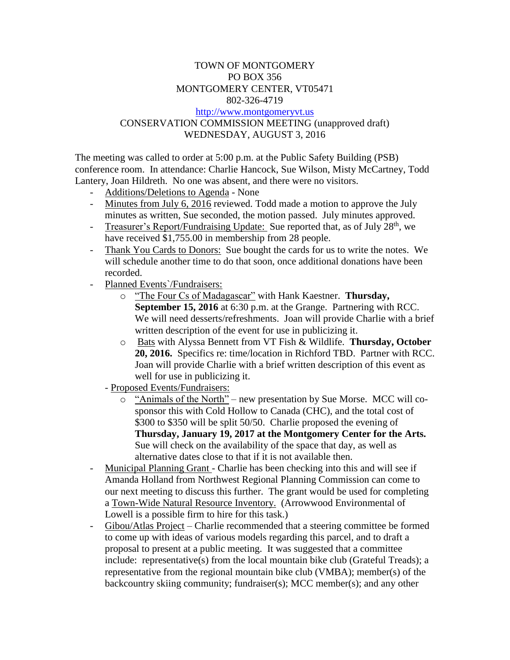## TOWN OF MONTGOMERY PO BOX 356 MONTGOMERY CENTER, VT05471 802-326-4719 [http://www.montgomeryvt.us](http://www.montgomeryvt.us/) CONSERVATION COMMISSION MEETING (unapproved draft) WEDNESDAY, AUGUST 3, 2016

The meeting was called to order at 5:00 p.m. at the Public Safety Building (PSB) conference room. In attendance: Charlie Hancock, Sue Wilson, Misty McCartney, Todd Lantery, Joan Hildreth. No one was absent, and there were no visitors.

- Additions/Deletions to Agenda None
- Minutes from July 6, 2016 reviewed. Todd made a motion to approve the July minutes as written, Sue seconded, the motion passed. July minutes approved.
- Treasurer's Report/Fundraising Update: Sue reported that, as of July 28<sup>th</sup>, we have received \$1,755.00 in membership from 28 people.
- Thank You Cards to Donors: Sue bought the cards for us to write the notes. We will schedule another time to do that soon, once additional donations have been recorded.
- Planned Events`/Fundraisers:
	- o "The Four Cs of Madagascar" with Hank Kaestner. **Thursday, September 15, 2016** at 6:30 p.m. at the Grange. Partnering with RCC. We will need desserts/refreshments. Joan will provide Charlie with a brief written description of the event for use in publicizing it.
	- o Bats with Alyssa Bennett from VT Fish & Wildlife. **Thursday, October 20, 2016.** Specifics re: time/location in Richford TBD. Partner with RCC. Joan will provide Charlie with a brief written description of this event as well for use in publicizing it.
	- Proposed Events/Fundraisers:
		- o "Animals of the North" new presentation by Sue Morse. MCC will cosponsor this with Cold Hollow to Canada (CHC), and the total cost of \$300 to \$350 will be split 50/50. Charlie proposed the evening of **Thursday, January 19, 2017 at the Montgomery Center for the Arts.**  Sue will check on the availability of the space that day, as well as alternative dates close to that if it is not available then.
- Municipal Planning Grant Charlie has been checking into this and will see if Amanda Holland from Northwest Regional Planning Commission can come to our next meeting to discuss this further. The grant would be used for completing a Town-Wide Natural Resource Inventory. (Arrowwood Environmental of Lowell is a possible firm to hire for this task.)
- Gibou/Atlas Project Charlie recommended that a steering committee be formed to come up with ideas of various models regarding this parcel, and to draft a proposal to present at a public meeting. It was suggested that a committee include: representative(s) from the local mountain bike club (Grateful Treads); a representative from the regional mountain bike club (VMBA); member(s) of the backcountry skiing community; fundraiser(s); MCC member(s); and any other